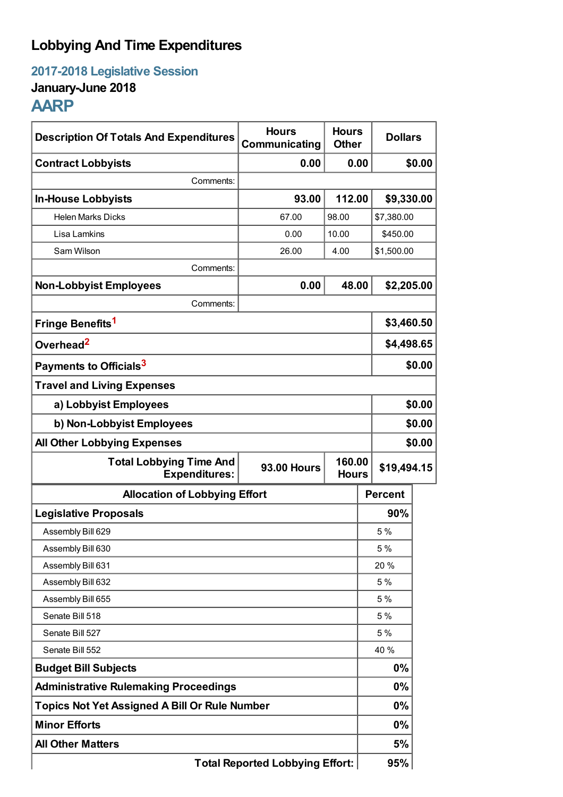# **Lobbying And Time Expenditures**

**2017-2018 Legislative Session**

## **January-June 2018**

**AARP**

| <b>Description Of Totals And Expenditures</b>                                                          | <b>Hours</b><br>Communicating | <b>Hours</b><br><b>Other</b> | <b>Dollars</b> |        |
|--------------------------------------------------------------------------------------------------------|-------------------------------|------------------------------|----------------|--------|
| <b>Contract Lobbyists</b>                                                                              | 0.00                          | 0.00                         |                | \$0.00 |
| Comments:                                                                                              |                               |                              |                |        |
| <b>In-House Lobbyists</b>                                                                              | 93.00                         | 112.00                       | \$9,330.00     |        |
| <b>Helen Marks Dicks</b>                                                                               | 67.00                         | 98.00                        | \$7,380.00     |        |
| Lisa Lamkins                                                                                           | 0.00                          | 10.00                        | \$450.00       |        |
| Sam Wilson                                                                                             | 26.00                         | 4.00                         | \$1,500.00     |        |
| Comments:                                                                                              |                               |                              |                |        |
| <b>Non-Lobbyist Employees</b>                                                                          | 0.00                          | 48.00                        | \$2,205.00     |        |
| Comments:                                                                                              |                               |                              |                |        |
| Fringe Benefits <sup>1</sup>                                                                           |                               |                              | \$3,460.50     |        |
| Overhead <sup>2</sup>                                                                                  |                               |                              | \$4,498.65     |        |
| Payments to Officials <sup>3</sup>                                                                     |                               |                              |                | \$0.00 |
| <b>Travel and Living Expenses</b>                                                                      |                               |                              |                |        |
| a) Lobbyist Employees                                                                                  |                               |                              |                | \$0.00 |
| b) Non-Lobbyist Employees                                                                              |                               |                              | \$0.00         |        |
| <b>All Other Lobbying Expenses</b>                                                                     |                               |                              | \$0.00         |        |
| 160.00<br><b>Total Lobbying Time And</b><br><b>93.00 Hours</b><br><b>Expenditures:</b><br><b>Hours</b> |                               |                              | \$19,494.15    |        |
| <b>Allocation of Lobbying Effort</b>                                                                   |                               |                              | <b>Percent</b> |        |
| <b>Legislative Proposals</b>                                                                           |                               |                              | 90%            |        |
| Assembly Bill 629                                                                                      |                               |                              | 5 %            |        |
| Assembly Bill 630                                                                                      |                               |                              | 5 %            |        |
| Assembly Bill 631                                                                                      |                               |                              | 20%            |        |
| Assembly Bill 632                                                                                      |                               |                              | 5 %            |        |
| Assembly Bill 655                                                                                      |                               |                              | 5%             |        |
| Senate Bill 518                                                                                        |                               |                              | 5 %            |        |
| Senate Bill 527                                                                                        |                               |                              | 5 %            |        |
| Senate Bill 552                                                                                        |                               |                              | 40 %           |        |
| <b>Budget Bill Subjects</b>                                                                            |                               |                              | $0\%$          |        |
| <b>Administrative Rulemaking Proceedings</b>                                                           |                               |                              | $0\%$          |        |
| <b>Topics Not Yet Assigned A Bill Or Rule Number</b>                                                   |                               |                              | $0\%$          |        |
| <b>Minor Efforts</b>                                                                                   |                               |                              | 0%             |        |
| <b>All Other Matters</b>                                                                               |                               |                              | 5%             |        |
| <b>Total Reported Lobbying Effort:</b>                                                                 |                               |                              | 95%            |        |